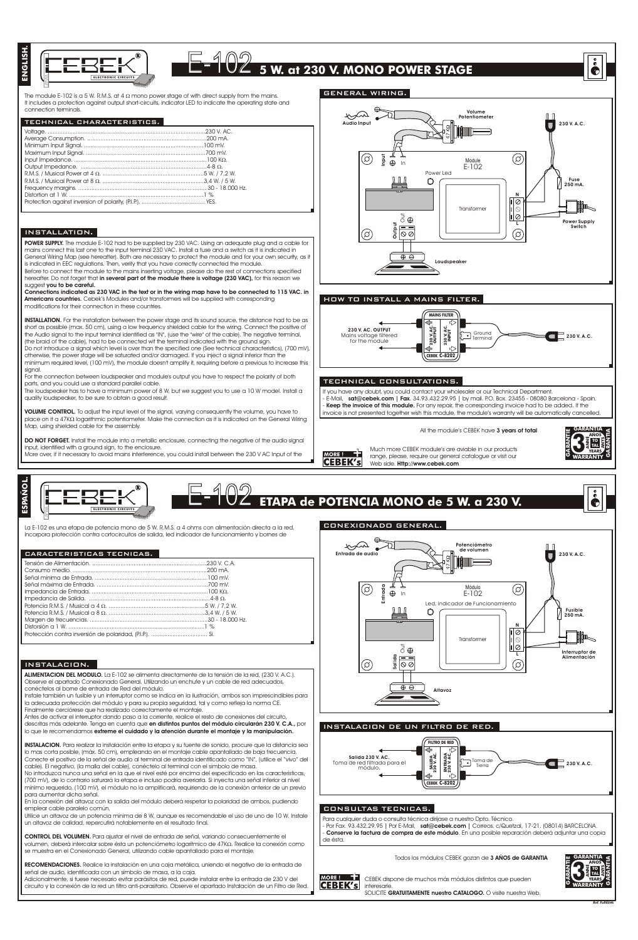

## E-102 **<sup>5</sup> W. at <sup>230</sup> V. MONO POWER STAGE**

The module E-102 is a 5 W. R.M.S. at 4 mono power stage of with direct supply from the mains.<br>It includes a protection against output short-circuits, indicator LED to indicate the operating state and connection terminals.

## TECHNICAL CHARACTERISTICS.

## INSTALLATION.

**POWER SUPPLY.** The module E-102 had to be supplied by 230 VAC. Using an adequate plug and a cable for<br>mains connect this last one to the input ferminal 230 VAC. Install a fuse and a switch as it is indicated in<br>General Wr is indicated in EEC regulations. Then, verify that you have correctly connected the module.

Before to connect the module to the mains inserting voltage, please do the rest of connections specified<br>hereafter. Do not forget that **in several part of the module there is voltage (230 VAC),** for this reason we<br>suggest

**Connections indicated as 230 VAC in the text or in the wiring map have to be connected to 115 VAC. in Americans countries.** Cebek's Modules and/or transformers will be supplied with corresponding modifications for their connection in these countries.

**INSTALLATION.** For the installation between the power stage and its sound source, the distance had to be as short as possible (max. 50 cm), using a low frequency shielded cable for the wiring. Connect the positive of<br>the Audio signal to the input terminal identified as "IIV, (use the "wire" of the cable). The negative terminal,<br> otherwise, the power stage will be saturated and/or damaged. If you inject a signal inferior than the minimum required level, (100 mV), the module doesn't amplify it, requiring before a previous to increase this

signal.<br>For the connection between loudspeaker and module's output you have to respect the polarity of both parts, and you could use a standard parallel cable.

The loudspeaker has to have a minimum power of 8 W, but we suggest you to use a 10 W model. Install a quality loudspeaker, to be sure to obtain a good result.

**VOLUME CONTROL.** To adjust the input level of the signal, varying consequently the volume, you have to place on it a 47K logarithmic potentiometer. Make the connection as it is indicated on the General Wiring Map, using shielded cable for the assembly.

**DO NOT FORGET.** Install the module into a metallic enclosure, connecting the negative of the audio signal input, identified with a ground sign, to the enclosure. More over, if it necessary to avoid mains interference, you could install between the 230 V AC Input of the



La E-102 es una etapa de potencia mono de 5 W. R.M.S. a 4 ohms con alimentación directa a la red. Incorpora protección contra cortocircuitos de salida, led indicador de funcionamiento y bornes de

#### CARACTERISTICAS TECNICAS.

## INSTALACION.

**ALIMENTACION DEL MODULO.** La E-102 se alimenta directamente de la tensión de la red, (230 V. A.C.). Observe el apartado Conexionado General. Utilizando un enchufe y un cable de red adecuados,<br>conéctelos al borne de entrada de Red del módulo.<br>Instale también un fusible y un interruptor como se indica en la ilustración, am

la adecuada protección del módulo y para su propia seguridad, tal y como refleja la norma CE.

Finalmente cerciórese que ha realizado correctamente el montaje. Antes de activar el interruptor dando paso a la corriente, realice el resto de conexiones del circuito, descritas más adelante. Tenga en cuenta que **en distintos puntos del módulo circularán 230 V. C.A.,** por<br>lo que le recomendamos **extreme el cuidado y la atención durante el montaje y la manipulación.** 

**INSTALACION.** Para realizar la instalación entre la etapa y su fuente de sonido, procure que la distancia sea lo mas corta posible, (máx. 50 cm), empleando en el montaje cable apantallado de baja frecuencia.<br>Conecte el positivo de la señal de audio al terminal de entrada identificado como "IN", (utilice el "vivo" del cable). El negativo, (la malla del cable), conéctelo al terminal con el símbolo de masa.

No introduzca nunca una señal en la que el nivel esté por encima del especificado en las características, (700 mV), de lo contrario saturará la etapa e incluso podría averiarla. Si inyecta una señal inferior al nivel mínimo requerido, (100 mV), el módulo no la amplificará, requiriendo de la conexión anterior de un previo para aumentar dicha señal.

En la conexión del altavoz con la salida del módulo deberá respetar la polaridad de ambos, pudiendo emplear cable paralelo común.

Utilice un altavoz de un potencia mínima de 8 W, aunque es recomendable el uso de uno de 10 W. Instale un altavoz de calidad, repercutirá notablemente en el resultado final.

**CONTROL DEL VOLUMEN.** Para ajustar el nivel de entrada de señal, variando consecuentemente el volumen, deberá intercalar sobre ésta un potenciómetro logarítmico de 47K . Realice la conexión como se muestra en el Conexionado General, utilizando cable apantallado para el montaje.

**RECOMENDACIONES.** Realice la instalación en una caja metálica, uniendo el negativo de la entrada de señal de audio, identificada con un símbolo de masa, a la caja.

Adicionalmente, si fuese necesario evitar parásitos de red, puede instalar entre la entrada de 230 V del<br>circuito y la conexión de la red un filtro anti-parasitario. Observe el apartado Instalación de un Filtro de Red.



## HOW TO INSTALL A MAINS FILTER.



## TECHNICAL CONSULTATIONS.

you have any doubt, you could contact your wholesaler or our Technical Department - E-Mail, **sat@cebek.com | Fax**. 34.93.432.29.95 **|** by mail. P.O. Box. 23455 - 08080 Barcelona - Spain. - **Keep the invoice of this module.** For any repair, the corresponding invoice had to be added. If the<br>invoice is not presented together wish this module, the module's warranty will be automatically cancelled.

All the module's CEBEK have **3 years of total** 



å

Much more CEBEK module's are aviable in our products range, please, require our general catalogue or visit our Web side. **Http://www.cebek.com CEBEK's** 

## E-102 **ETAPA de POTENCIA MONO de <sup>5</sup> W. <sup>a</sup> <sup>230</sup> V.** CONEXIONADO GENERAL.



## INSTALACION DE UN FILTRO DE RED.



## CONSULTAS TECNICAS.

35 I III

Para cualquier duda o consulta técnica dirijase a nuestro Dpto. Técnico. - Por Fax. 93.432.29.95 **|** Por E-Mail, **sat@cebek.com |** Correos. c/Quetzal, 17-21. (08014) BARCELONA. - **Conserve la factura de compra de este módulo**. En una posible reparación deberá adjuntar una copia de ésta.

Todos los módulos CEBEK gozan de **3 AÑOS de GARANTIA**

**GARANTIA GARANTIA**<br> **CARANTIC**<br> **CARANTIAL ARRANT** 

CEBEK dispone de muchos más módulos distintos que pueden **CEBEK's** interesarle. SOLICITE **GRATUITAMENTE nuestro CATALOGO.** O visite nuestra Web.